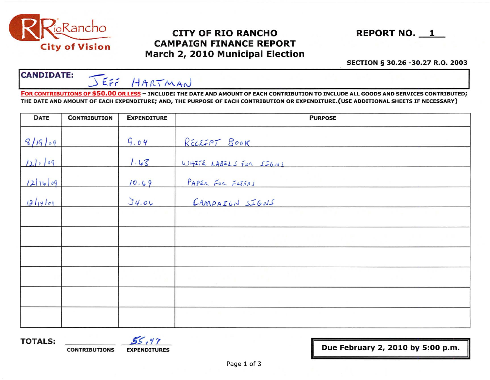

# CITY OF RIO RANCHO REPORT NO. 1 CAMPAIGN FINANCE REPORT March 2, 2010 Municipal Election

#### SECTION § 30.26 -30.27 R.O. 2003

# CANDIDATE: JEFF HARTMAN

FOR CONTRIBUTIONS OF \$50.00 OR LESS - INCLUDE: THE DATE AND AMOUNT OF EACH CONTRIBUTION TO INCLUDE ALL GOODS AND SERVICES CONTRIBUTED; THE DATE AND AMOUNT OF EACH EXPENDITURE; AND, THE PURPOSE OF EACH CONTRIBUTION OR EXPENDITURE.(USE ADDITIONAL SHEETS IF NECESSARY)

| <b>DATE</b> | <b>CONTRIBUTION</b> | <b>EXPENDITURE</b> | <b>PURPOSE</b>                    |  |  |
|-------------|---------------------|--------------------|-----------------------------------|--|--|
| 8/19/09     |                     | 9.04               | RELEFFT BOOK                      |  |  |
| 121.109     |                     | 1.68               | WHITE LABELS FOR SIGNS            |  |  |
| 12116009    |                     | 10.69              | PAPER FOR FLIERS                  |  |  |
| 12114109    |                     | 34.06              | CAMPAIGN SIGNS                    |  |  |
|             |                     |                    |                                   |  |  |
|             |                     |                    | and the state of the state of the |  |  |
|             |                     |                    |                                   |  |  |
|             |                     |                    |                                   |  |  |
|             |                     |                    |                                   |  |  |
|             |                     |                    |                                   |  |  |

**TOTALS:** *CONTRIBUTIONS* **EXPENDITURE** 

Page 1 of 3

EXPENDITURES **EXPENDITURES EXPENDITURES**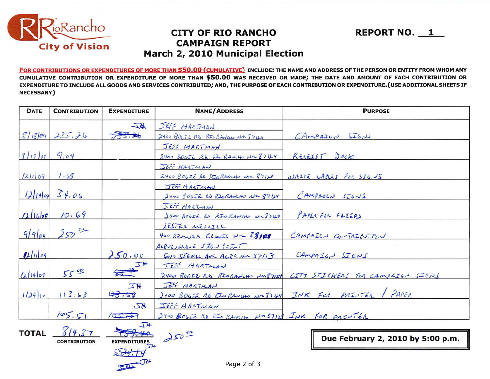

### **CITY OF RIO RANCHO CAMPAIGN REPORT** March 2, 2010 Municipal Election

FOR CONTRIBUTIONS OR EXPENDITURES OF MORE THAN \$50.00 (CUMULATIVE) INCLUDE: THE NAME AND ADDRESS OF THE PERSON OR ENTITY FROM WHOM ANY CUMULATIVE CONTRIBUTION OR EXPENDITURE OF MORE THAN \$50.00 WAS RECEIVED OR MADE; THE DATE AND AMOUNT OF EACH CONTRIBUTION OR EXPENDITURE TO INCLUDE ALL GOODS AND SERVICES CONTRIBUTED; AND, THE PURPOSE OF EACH CONTRIBUTION OR EXPENDITURE. (USE ADDITIONAL SHEETS IF NECESSARY)

**REPORT NO. 1** 

| <b>DATE</b>  | <b>CONTRIBUTION</b>           | <b>EXPENDITURE</b>                                                                                                                                                                                                                                                                                                                                                                                                   | <b>NAME/ADDRESS</b>                              | <b>PURPOSE</b>                                                  |
|--------------|-------------------------------|----------------------------------------------------------------------------------------------------------------------------------------------------------------------------------------------------------------------------------------------------------------------------------------------------------------------------------------------------------------------------------------------------------------------|--------------------------------------------------|-----------------------------------------------------------------|
|              | $8/1809$ 235.26               | $\overline{\psi}$                                                                                                                                                                                                                                                                                                                                                                                                    | JEFF HARTMAN                                     |                                                                 |
|              |                               | 73.2                                                                                                                                                                                                                                                                                                                                                                                                                 | 2400 BOGIERD RIS RANCHO NM 57124<br>JEFF HARTMAN | CAmPAGWJ                                                        |
| 3/19/0999.04 |                               |                                                                                                                                                                                                                                                                                                                                                                                                                      | 2400 BOGJE RD RIO RANCHO NM 87124                | RECEIPT BOOK                                                    |
|              |                               |                                                                                                                                                                                                                                                                                                                                                                                                                      | JEST HARTMAN                                     |                                                                 |
| 121109       | 1.63                          |                                                                                                                                                                                                                                                                                                                                                                                                                      | 2400 BOGIE RD RIORANCHO NOL 87124                | WAITE CARLES FOR SIGILS                                         |
| (2 14 09)    | 34.06                         |                                                                                                                                                                                                                                                                                                                                                                                                                      | JEFF HARTMAN<br>2400 BOLJE RD RIORANCHO Nu 8712  | $CAMPALCJ$ $SICNS$                                              |
| 12 16 09     | 10.69                         |                                                                                                                                                                                                                                                                                                                                                                                                                      | SET HARTMAN<br>Itoo BOGIE to RIORANCHO WASTEY    | PAPER FUR FLIERS                                                |
| 9/969        | $250$ or                      |                                                                                                                                                                                                                                                                                                                                                                                                                      | LESTER MERLILL<br>400 REMUDA CLOVIS NR 88101     | CAMPAIGN CONTRIDUTED                                            |
| $D\ln\log$   |                               | 250.00                                                                                                                                                                                                                                                                                                                                                                                                               | $A+BUSU$<br>GOIO SIGNIN AVE ALJO NM 37113        | CAMPAIGN SIGNS                                                  |
| 0.114109     | $55^{00}$                     | $\frac{1}{\sqrt{1+\frac{1}{2}}\sqrt{1+\frac{1}{2}}\sqrt{1+\frac{1}{2}}\sqrt{1+\frac{1}{2}}\sqrt{1+\frac{1}{2}}\sqrt{1+\frac{1}{2}}\sqrt{1+\frac{1}{2}}\sqrt{1+\frac{1}{2}}\sqrt{1+\frac{1}{2}}\sqrt{1+\frac{1}{2}}\sqrt{1+\frac{1}{2}}\sqrt{1+\frac{1}{2}}\sqrt{1+\frac{1}{2}}\sqrt{1+\frac{1}{2}}\sqrt{1+\frac{1}{2}}\sqrt{1+\frac{1}{2}}\sqrt{1+\frac{1}{2}}\sqrt{1+\frac{1}{2}}\sqrt{1+\frac{1}{2}}\sqrt{1+\frac$ | JEFF HARTMAN                                     | 2400 BOGCERS RIORANUMO NM87124 CITY STICKERS FOR CAMPAIGN SIGNS |
| $129 -$      | 113.63                        | <b>JN</b><br>43.68                                                                                                                                                                                                                                                                                                                                                                                                   | JEF HARTMAN                                      | 2000 BOLIE 20 RIORANHO NAJIAY INK FOR PRINTER / PAPER           |
|              | 105.51                        | <b>JN</b>                                                                                                                                                                                                                                                                                                                                                                                                            | IFF HAATMAN                                      |                                                                 |
|              |                               | $TOS \rightarrow T$<br>$\overline{4L}$                                                                                                                                                                                                                                                                                                                                                                               | 2400 BOGIE RO RIO RANGHO NM37128 INK FOR PRINTER |                                                                 |
| <b>TOTAL</b> | 814.37<br><b>CONTRIBUTION</b> | <b>EXPENDITURES</b>                                                                                                                                                                                                                                                                                                                                                                                                  | 250 <sup>60</sup>                                | Due February 2, 2010 by 5:00 p.m.                               |

Page 2 of 3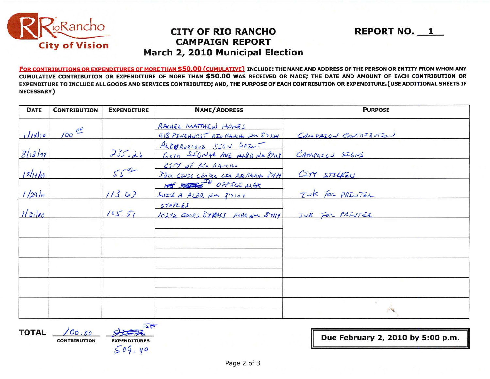

### **CITY OF RIO RANCHO CAMPAIGN REPORT** March 2, 2010 Municipal Election

FOR CONTRIBUTIONS OR EXPENDITURES OF MORE THAN \$50.00 (CUMULATIVE) INCLUDE: THE NAME AND ADDRESS OF THE PERSON OR ENTITY FROM WHOM ANY CUMULATIVE CONTRIBUTION OR EXPENDITURE OF MORE THAN \$50.00 WAS RECEIVED OR MADE; THE DATE AND AMOUNT OF EACH CONTRIBUTION OR EXPENDITURE TO INCLUDE ALL GOODS AND SERVICES CONTRIBUTED; AND, THE PURPOSE OF EACH CONTRIBUTION OR EXPENDITURE. (USE ADDITIONAL SHEETS IF NECESSARY)

| <b>DATE</b> | <b>CONTRIBUTION</b> | <b>EXPENDITURE</b> | <b>NAME/ADDRESS</b>                                       | <b>PURPOSE</b>       |
|-------------|---------------------|--------------------|-----------------------------------------------------------|----------------------|
| 11110       | $100 e^{0}$         |                    | RACHEL MATTHEW HOMES<br>918 PINEHURST RIO RANCHO NM 37124 | CAMPAIGN CONTRESSION |
| 81809       |                     | 235.26             | ALBUQUEROJE SIGN PRINT<br>GOID SIGNAL AVE AND a NM 89113  | CAMPAIGN SIGNS       |
| $124 + 69$  |                     | $55 - 00$          | CITY OF ASU RACCHO<br>5200 CIUSE CENTER CIA RIORANO 87/14 | CITY STILKEN         |
| 1/29h       |                     | 113.63             | off some off sea use<br>SUITE A ALBR NM 87107             | Tak For PRINTER      |
| 1 31 00     |                     | 105.51             | STAPLES<br>10272 COOCL BYERSS ALBENN 87114                | INK FOR PRINTER      |
|             |                     |                    |                                                           |                      |
|             |                     |                    |                                                           |                      |
|             |                     |                    |                                                           |                      |
|             |                     |                    |                                                           |                      |
|             |                     |                    |                                                           |                      |

**TOTAL** 

 $00.00$ **CONTRIBUTION EXPENDITURES** 

 $509.40$ 

一片

Due February 2, 2010 by 5:00 p.m.

**REPORT NO. 1**